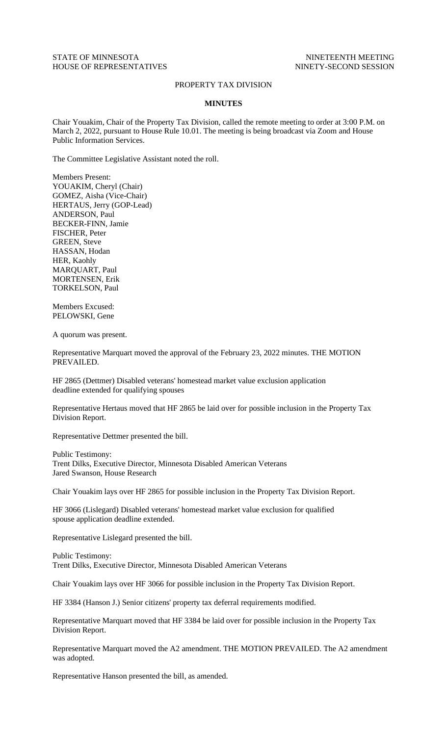## STATE OF MINNESOTA NINETEENTH MEETING HOUSE OF REPRESENTATIVES NINETY-SECOND SESSION

## PROPERTY TAX DIVISION

## **MINUTES**

Chair Youakim, Chair of the Property Tax Division, called the remote meeting to order at 3:00 P.M. on March 2, 2022, pursuant to House Rule 10.01. The meeting is being broadcast via Zoom and House Public Information Services.

The Committee Legislative Assistant noted the roll.

Members Present: YOUAKIM, Cheryl (Chair) GOMEZ, Aisha (Vice-Chair) HERTAUS, Jerry (GOP-Lead) ANDERSON, Paul BECKER-FINN, Jamie FISCHER, Peter GREEN, Steve HASSAN, Hodan HER, Kaohly MARQUART, Paul MORTENSEN, Erik TORKELSON, Paul

Members Excused: PELOWSKI, Gene

A quorum was present.

Representative Marquart moved the approval of the February 23, 2022 minutes. THE MOTION PREVAILED.

HF 2865 (Dettmer) Disabled veterans' homestead market value exclusion application deadline extended for qualifying spouses

Representative Hertaus moved that HF 2865 be laid over for possible inclusion in the Property Tax Division Report.

Representative Dettmer presented the bill.

Public Testimony: Trent Dilks, Executive Director, Minnesota Disabled American Veterans Jared Swanson, House Research

Chair Youakim lays over HF 2865 for possible inclusion in the Property Tax Division Report.

HF 3066 (Lislegard) Disabled veterans' homestead market value exclusion for qualified spouse application deadline extended.

Representative Lislegard presented the bill.

Public Testimony: Trent Dilks, Executive Director, Minnesota Disabled American Veterans

Chair Youakim lays over HF 3066 for possible inclusion in the Property Tax Division Report.

HF 3384 (Hanson J.) Senior citizens' property tax deferral requirements modified.

Representative Marquart moved that HF 3384 be laid over for possible inclusion in the Property Tax Division Report.

Representative Marquart moved the A2 amendment. THE MOTION PREVAILED. The A2 amendment was adopted.

Representative Hanson presented the bill, as amended.